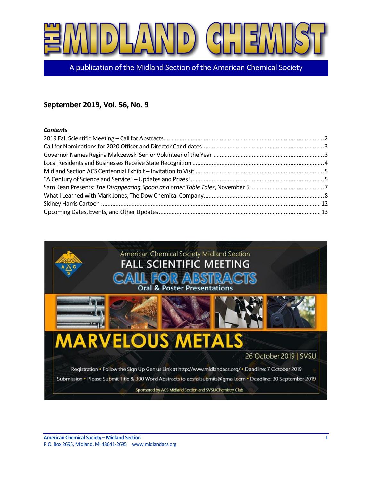

A publication of the Midland Section of the American Chemical Society

# **September 2019, Vol. 56, No. 9**

#### *Contents*

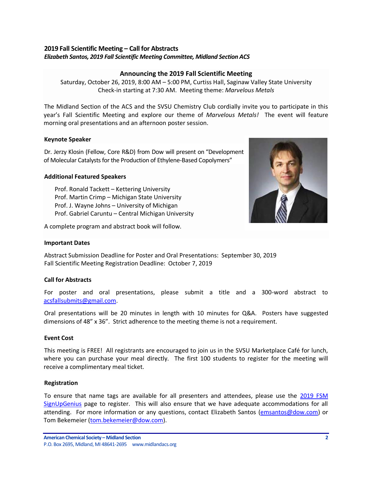#### <span id="page-1-0"></span>**2019 Fall Scientific Meeting – Call for Abstracts** *Elizabeth Santos, 2019 Fall Scientific Meeting Committee, Midland Section ACS*

# **Announcing the 2019 Fall Scientific Meeting**

Saturday, October 26, 2019, 8:00 AM – 5:00 PM, Curtiss Hall, Saginaw Valley State University Check-in starting at 7:30 AM. Meeting theme: *Marvelous Metals*

The Midland Section of the ACS and the SVSU Chemistry Club cordially invite you to participate in this year's Fall Scientific Meeting and explore our theme of *Marvelous Metals!* The event will feature morning oral presentations and an afternoon poster session.

#### **Keynote Speaker**

Dr. Jerzy Klosin (Fellow, Core R&D) from Dow will present on "Development of Molecular Catalysts for the Production of Ethylene-Based Copolymers"

#### **Additional Featured Speakers**

Prof. Ronald Tackett – Kettering University Prof. Martin Crimp – Michigan State University Prof. J. Wayne Johns – University of Michigan Prof. Gabriel Caruntu – Central Michigan University

A complete program and abstract book will follow.

#### **Important Dates**

Abstract Submission Deadline for Poster and Oral Presentations: September 30, 2019 Fall Scientific Meeting Registration Deadline: October 7, 2019

# **Call for Abstracts**

For poster and oral presentations, please submit a title and a 300-word abstract to [acsfallsubmits@gmail.com.](mailto:acsfallsubmits@gmail.com)

Oral presentations will be 20 minutes in length with 10 minutes for Q&A. Posters have suggested dimensions of 48" x 36". Strict adherence to the meeting theme is not a requirement.

#### **Event Cost**

This meeting is FREE! All registrants are encouraged to join us in the SVSU Marketplace Café for lunch, where you can purchase your meal directly. The first 100 students to register for the meeting will receive a complimentary meal ticket.

#### **Registration**

To ensure that name tags are available for all presenters and attendees, please use the [2019 FSM](https://www.signupgenius.com/go/70a054badaa2ea20-marvelous)  [SignUpGenius](https://www.signupgenius.com/go/70a054badaa2ea20-marvelous) page to register. This will also ensure that we have adequate accommodations for all attending. For more information or any questions, contact Elizabeth Santos [\(emsantos@dow.com\)](mailto:emsantos@dow.com) or Tom Bekemeier [\(tom.bekemeier@dow.com\)](mailto:tom.bekemeier@dow.com).

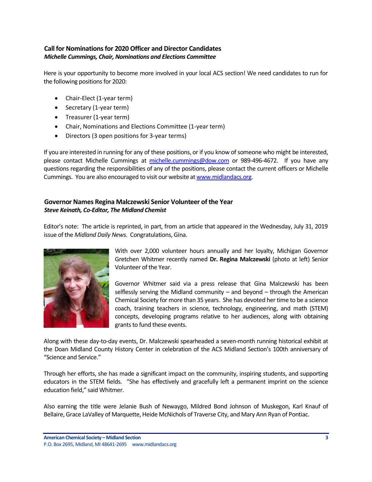# <span id="page-2-0"></span>**Call for Nominations for 2020 Officer and Director Candidates** *Michelle Cummings, Chair, Nominations and Elections Committee*

Here is your opportunity to become more involved in your local ACS section! We need candidates to run for the following positions for 2020:

- Chair-Elect (1-year term)
- Secretary (1-year term)
- Treasurer (1-year term)
- Chair, Nominations and Elections Committee (1-year term)
- Directors (3 open positions for 3-year terms)

If you are interested in running for any of these positions, or if you know of someone who might be interested, please contact Michelle Cummings at [michelle.cummings@dow.com](mailto:michelle.cummings@dow.com) or 989-496-4672. If you have any questions regarding the responsibilities of any of the positions, please contact the current officers or Michelle Cummings. You are also encouraged to visit our website at [www.midlandacs.org.](http://www.midlandacs.org/)

### <span id="page-2-1"></span>**Governor Names Regina Malczewski Senior Volunteer of the Year** *Steve Keinath, Co-Editor, The Midland Chemist*

Editor's note: The article is reprinted, in part, from an article that appeared in the Wednesday, July 31, 2019 issue of the *Midland Daily News*. Congratulations, Gina.



With over 2,000 volunteer hours annually and her loyalty, Michigan Governor Gretchen Whitmer recently named **Dr. Regina Malczewski** (photo at left) Senior Volunteer of the Year.

Governor Whitmer said via a press release that Gina Malczewski has been selflessly serving the Midland community – and beyond – through the American Chemical Society for more than 35 years. She has devoted her time to be a science coach, training teachers in science, technology, engineering, and math (STEM) concepts, developing programs relative to her audiences, along with obtaining grants to fund these events.

Along with these day-to-day events, Dr. Malczewski spearheaded a seven-month running historical exhibit at the Doan Midland County History Center in celebration of the ACS Midland Section's 100th anniversary of "Science and Service."

Through her efforts, she has made a significant impact on the community, inspiring students, and supporting educators in the STEM fields. "She has effectively and gracefully left a permanent imprint on the science education field," said Whitmer.

Also earning the title were Jelanie Bush of Newaygo, Mildred Bond Johnson of Muskegon, Karl Knauf of Bellaire, Grace LaValley of Marquette, Heide McNichols of Traverse City, and Mary Ann Ryan of Pontiac.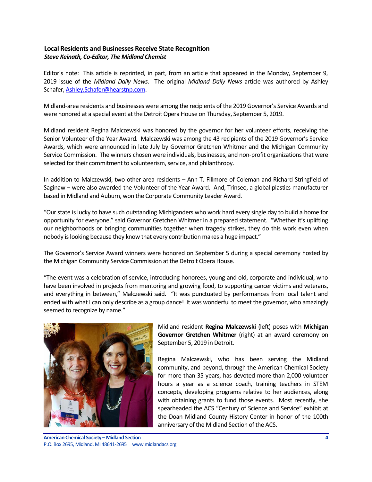# <span id="page-3-0"></span>**Local Residents and Businesses Receive State Recognition** *Steve Keinath, Co-Editor, The Midland Chemist*

Editor's note: This article is reprinted, in part, from an article that appeared in the Monday, September 9, 2019 issue of the *Midland Daily News*. The original *Midland Daily News* article was authored by Ashley Schafer[, Ashley.Schafer@hearstnp.com.](mailto:Ashley.Schafer@hearstnp.com)

Midland-area residents and businesses were among the recipients of the 2019 Governor's Service Awards and were honored at a special event at the Detroit Opera House on Thursday, September 5, 2019.

Midland resident Regina Malczewski was honored by the governor for her volunteer efforts, receiving the Senior Volunteer of the Year Award. Malczewski was among the 43 recipients of the 2019 Governor's Service Awards, which were announced in late July by Governor Gretchen Whitmer and the Michigan Community Service Commission. The winners chosen were individuals, businesses, and non-profit organizations that were selected for their commitment to volunteerism, service, and philanthropy.

In addition to Malczewski, two other area residents – Ann T. Fillmore of Coleman and Richard Stringfield of Saginaw – were also awarded the Volunteer of the Year Award. And, Trinseo, a global plastics manufacturer based in Midland and Auburn, won the Corporate Community Leader Award.

"Our state is lucky to have such outstanding Michiganders who work hard every single day to build a home for opportunity for everyone," said Governor Gretchen Whitmer in a prepared statement. "Whether it's uplifting our neighborhoods or bringing communities together when tragedy strikes, they do this work even when nobody is looking because they know that every contribution makes a huge impact."

The Governor's Service Award winners were honored on September 5 during a special ceremony hosted by the Michigan Community Service Commission at the Detroit Opera House.

"The event was a celebration of service, introducing honorees, young and old, corporate and individual, who have been involved in projects from mentoring and growing food, to supporting cancer victims and veterans, and everything in between," Malczewski said. "It was punctuated by performances from local talent and ended with what I can only describe as a group dance! It was wonderful to meet the governor, who amazingly seemed to recognize by name."



Midland resident **Regina Malczewski** (left) poses with **Michigan Governor Gretchen Whitmer** (right) at an award ceremony on September 5, 2019 in Detroit.

Regina Malczewski, who has been serving the Midland community, and beyond, through the American Chemical Society for more than 35 years, has devoted more than 2,000 volunteer hours a year as a science coach, training teachers in STEM concepts, developing programs relative to her audiences, along with obtaining grants to fund those events. Most recently, she spearheaded the ACS "Century of Science and Service" exhibit at the Doan Midland County History Center in honor of the 100th anniversary of the Midland Section of the ACS.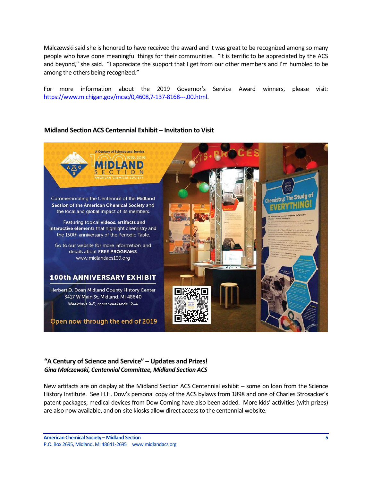Malczewski said she is honored to have received the award and it was great to be recognized among so many people who have done meaningful things for their communities. "It is terrific to be appreciated by the ACS and beyond," she said. "I appreciate the support that I get from our other members and I'm humbled to be among the others being recognized."

For more information about the 2019 Governor's Service Award winners, please visit: [https://www.michigan.gov/mcsc/0,4608,7-137-8168---,00.html.](https://www.michigan.gov/mcsc/0,4608,7-137-8168---,00.html)

#### <span id="page-4-0"></span>**Midland Section ACS Centennial Exhibit – Invitation to Visit**



#### <span id="page-4-1"></span>**"A Century of Science and Service" – Updates and Prizes!** *Gina Malczewski, Centennial Committee, Midland Section ACS*

New artifacts are on display at the Midland Section ACS Centennial exhibit – some on loan from the Science History Institute. See H.H. Dow's personal copy of the ACS bylaws from 1898 and one of Charles Strosacker's patent packages; medical devices from Dow Corning have also been added. More kids' activities (with prizes) are also now available, and on-site kiosks allow direct access to the centennial website.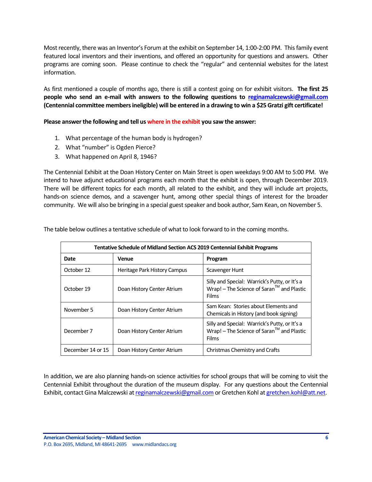Most recently, there was an Inventor's Forum at the exhibit on September 14, 1:00-2:00 PM. This family event featured local inventors and their inventions, and offered an opportunity for questions and answers. Other programs are coming soon. Please continue to check the "regular" and centennial websites for the latest information.

As first mentioned a couple of months ago, there is still a contest going on for exhibit visitors. **The first 25 people who send an e-mail with answers to the following questions to [reginamalczewski@gmail.com](mailto:reginamalczewski@gmail.com) (Centennial committee members ineligible) will be entered in a drawing to win a \$25 Gratzi gift certificate!**

**Please answer the following and tell us where in the exhibit you saw the answer:**

- 1. What percentage of the human body is hydrogen?
- 2. What "number" is Ogden Pierce?
- 3. What happened on April 8, 1946?

The Centennial Exhibit at the Doan History Center on Main Street is open weekdays 9:00 AM to 5:00 PM. We intend to have adjunct educational programs each month that the exhibit is open, through December 2019. There will be different topics for each month, all related to the exhibit, and they will include art projects, hands-on science demos, and a scavenger hunt, among other special things of interest for the broader community. We will also be bringing in a special guest speaker and book author, Sam Kean, on November 5.

| <b>Tentative Schedule of Midland Section ACS 2019 Centennial Exhibit Programs</b> |                              |                                                                                                               |
|-----------------------------------------------------------------------------------|------------------------------|---------------------------------------------------------------------------------------------------------------|
| Date                                                                              | Venue                        | Program                                                                                                       |
| October 12                                                                        | Heritage Park History Campus | Scavenger Hunt                                                                                                |
| October 19                                                                        | Doan History Center Atrium   | Silly and Special: Warrick's Putty, or It's a<br>$W$ rap! – The Science of Saran $^{TM}$ and Plastic<br>Films |
| November 5                                                                        | Doan History Center Atrium   | Sam Kean: Stories about Elements and<br>Chemicals in History (and book signing)                               |
| December 7                                                                        | Doan History Center Atrium   | Silly and Special: Warrick's Putty, or It's a<br>$W$ rap! – The Science of Saran $^{TM}$ and Plastic<br>Films |
| December 14 or 15                                                                 | Doan History Center Atrium   | Christmas Chemistry and Crafts                                                                                |

The table below outlines a tentative schedule of what to look forward to in the coming months.

In addition, we are also planning hands-on science activities for school groups that will be coming to visit the Centennial Exhibit throughout the duration of the museum display. For any questions about the Centennial Exhibit, contact Gina Malczewski a[t reginamalczewski@gmail.com](mailto:reginamalczewski@gmail.com) or Gretchen Kohl a[t gretchen.kohl@att.net.](mailto:gretchen.kohl@att.net)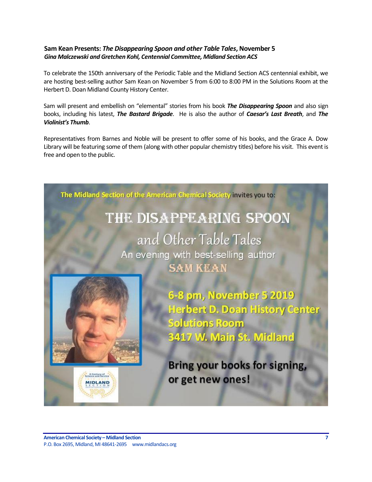# <span id="page-6-0"></span>**Sam Kean Presents:** *The Disappearing Spoon and other Table Tales***, November 5** *Gina Malczewski and Gretchen Kohl, Centennial Committee, Midland Section ACS*

To celebrate the 150th anniversary of the Periodic Table and the Midland Section ACS centennial exhibit, we are hosting best-selling author Sam Kean on November 5 from 6:00 to 8:00 PM in the Solutions Room at the Herbert D. Doan Midland County History Center.

Sam will present and embellish on "elemental" stories from his book *The Disappearing Spoon* and also sign books, including his latest, *The Bastard Brigade*. He is also the author of *Caesar's Last Breath*, and *The Violinist's Thumb*.

Representatives from Barnes and Noble will be present to offer some of his books, and the Grace A. Dow Library will be featuring some of them (along with other popular chemistry titles) before his visit. This event is free and open to the public.

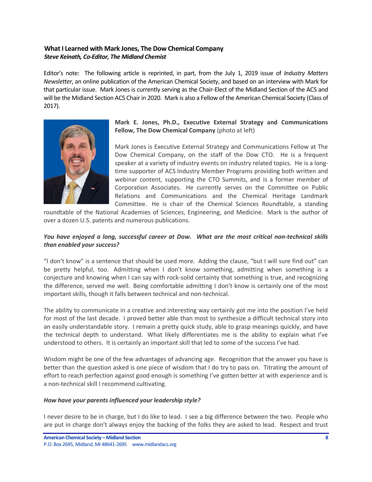# <span id="page-7-0"></span>**What I Learned with Mark Jones, The Dow Chemical Company** *Steve Keinath, Co-Editor, The Midland Chemist*

Editor's note: The following article is reprinted, in part, from the July 1, 2019 issue of *Industry Matters Newsletter*, an online publication of the American Chemical Society, and based on an interview with Mark for that particular issue. Mark Jones is currently serving as the Chair-Elect of the Midland Section of the ACS and will be the Midland Section ACS Chair in 2020. Mark is also a Fellow of the American Chemical Society (Class of 2017).



# **Mark E. Jones, Ph.D., Executive External Strategy and Communications Fellow, The Dow Chemical Company** (photo at left)

Mark Jones is Executive External Strategy and Communications Fellow at The Dow Chemical Company, on the staff of the Dow CTO. He is a frequent speaker at a variety of industry events on industry related topics. He is a longtime supporter of ACS Industry Member Programs providing both written and webinar content, supporting the CTO Summits, and is a former member of Corporation Associates. He currently serves on the Committee on Public Relations and Communications and the Chemical Heritage Landmark Committee. He is chair of the Chemical Sciences Roundtable, a standing

roundtable of the National Academies of Sciences, Engineering, and Medicine. Mark is the author of over a dozen U.S. patents and numerous publications.

# *You have enjoyed a long, successful career at Dow. What are the most critical non-technical skills than enabled your success?*

"I don't know" is a sentence that should be used more. Adding the clause, "but I will sure find out" can be pretty helpful, too. Admitting when I don't know something, admitting when something is a conjecture and knowing when I can say with rock-solid certainty that something is true, and recognizing the difference, served me well. Being comfortable admitting I don't know is certainly one of the most important skills, though it falls between technical and non-technical.

The ability to communicate in a creative and interesting way certainly got me into the position I've held for most of the last decade. I proved better able than most to synthesize a difficult technical story into an easily understandable story. I remain a pretty quick study, able to grasp meanings quickly, and have the technical depth to understand. What likely differentiates me is the ability to explain what I've understood to others. It is certainly an important skill that led to some of the success I've had.

Wisdom might be one of the few advantages of advancing age. Recognition that the answer you have is better than the question asked is one piece of wisdom that I do try to pass on. Titrating the amount of effort to reach perfection against good enough is something I've gotten better at with experience and is a non-technical skill I recommend cultivating.

#### *How have your parents influenced your leadership style?*

I never desire to be in charge, but I do like to lead. I see a big difference between the two. People who are put in charge don't always enjoy the backing of the folks they are asked to lead. Respect and trust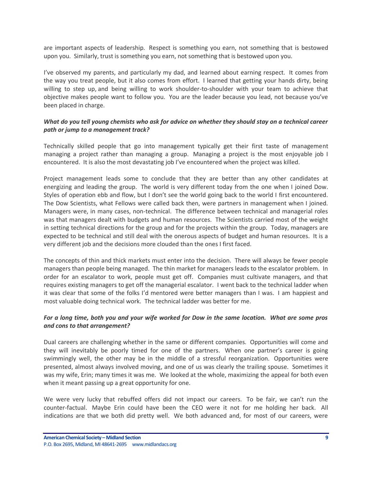are important aspects of leadership. Respect is something you earn, not something that is bestowed upon you. Similarly, trust is something you earn, not something that is bestowed upon you.

I've observed my parents, and particularly my dad, and learned about earning respect. It comes from the way you treat people, but it also comes from effort. I learned that getting your hands dirty, being willing to step up, and being willing to work shoulder-to-shoulder with your team to achieve that objective makes people want to follow you. You are the leader because you lead, not because you've been placed in charge.

### *What do you tell young chemists who ask for advice on whether they should stay on a technical career path or jump to a management track?*

Technically skilled people that go into management typically get their first taste of management managing a project rather than managing a group. Managing a project is the most enjoyable job I encountered. It is also the most devastating job I've encountered when the project was killed.

Project management leads some to conclude that they are better than any other candidates at energizing and leading the group. The world is very different today from the one when I joined Dow. Styles of operation ebb and flow, but I don't see the world going back to the world I first encountered. The Dow Scientists, what Fellows were called back then, were partners in management when I joined. Managers were, in many cases, non-technical. The difference between technical and managerial roles was that managers dealt with budgets and human resources. The Scientists carried most of the weight in setting technical directions for the group and for the projects within the group. Today, managers are expected to be technical and still deal with the onerous aspects of budget and human resources. It is a very different job and the decisions more clouded than the ones I first faced.

The concepts of thin and thick markets must enter into the decision. There will always be fewer people managers than people being managed. The thin market for managers leads to the escalator problem. In order for an escalator to work, people must get off. Companies must cultivate managers, and that requires existing managers to get off the managerial escalator. I went back to the technical ladder when it was clear that some of the folks I'd mentored were better managers than I was. I am happiest and most valuable doing technical work. The technical ladder was better for me.

#### *For a long time, both you and your wife worked for Dow in the same location. What are some pros and cons to that arrangement?*

Dual careers are challenging whether in the same or different companies. Opportunities will come and they will inevitably be poorly timed for one of the partners. When one partner's career is going swimmingly well, the other may be in the middle of a stressful reorganization. Opportunities were presented, almost always involved moving, and one of us was clearly the trailing spouse. Sometimes it was my wife, Erin; many times it was me. We looked at the whole, maximizing the appeal for both even when it meant passing up a great opportunity for one.

We were very lucky that rebuffed offers did not impact our careers. To be fair, we can't run the counter-factual. Maybe Erin could have been the CEO were it not for me holding her back. All indications are that we both did pretty well. We both advanced and, for most of our careers, were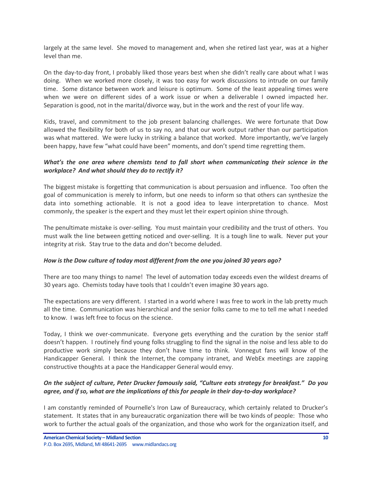largely at the same level. She moved to management and, when she retired last year, was at a higher level than me.

On the day-to-day front, I probably liked those years best when she didn't really care about what I was doing. When we worked more closely, it was too easy for work discussions to intrude on our family time. Some distance between work and leisure is optimum. Some of the least appealing times were when we were on different sides of a work issue or when a deliverable I owned impacted her. Separation is good, not in the marital/divorce way, but in the work and the rest of your life way.

Kids, travel, and commitment to the job present balancing challenges. We were fortunate that Dow allowed the flexibility for both of us to say no, and that our work output rather than our participation was what mattered. We were lucky in striking a balance that worked. More importantly, we've largely been happy, have few "what could have been" moments, and don't spend time regretting them.

# *What's the one area where chemists tend to fall short when communicating their science in the workplace? And what should they do to rectify it?*

The biggest mistake is forgetting that communication is about persuasion and influence. Too often the goal of communication is merely to inform, but one needs to inform so that others can synthesize the data into something actionable. It is not a good idea to leave interpretation to chance. Most commonly, the speaker is the expert and they must let their expert opinion shine through.

The penultimate mistake is over-selling. You must maintain your credibility and the trust of others. You must walk the line between getting noticed and over-selling. It is a tough line to walk. Never put your integrity at risk. Stay true to the data and don't become deluded.

# *How is the Dow culture of today most different from the one you joined 30 years ago?*

There are too many things to name! The level of automation today exceeds even the wildest dreams of 30 years ago. Chemists today have tools that I couldn't even imagine 30 years ago.

The expectations are very different. I started in a world where I was free to work in the lab pretty much all the time. Communication was hierarchical and the senior folks came to me to tell me what I needed to know. I was left free to focus on the science.

Today, I think we over-communicate. Everyone gets everything and the curation by the senior staff doesn't happen. I routinely find young folks struggling to find the signal in the noise and less able to do productive work simply because they don't have time to think. Vonnegut fans will know of the Handicapper General. I think the Internet, the company intranet, and WebEx meetings are zapping constructive thoughts at a pace the Handicapper General would envy.

# *On the subject of culture, Peter Drucker famously said, "Culture eats strategy for breakfast." Do you agree, and if so, what are the implications of this for people in their day-to-day workplace?*

I am constantly reminded of Pournelle's Iron Law of Bureaucracy, which certainly related to Drucker's statement. It states that in any bureaucratic organization there will be two kinds of people: Those who work to further the actual goals of the organization, and those who work for the organization itself, and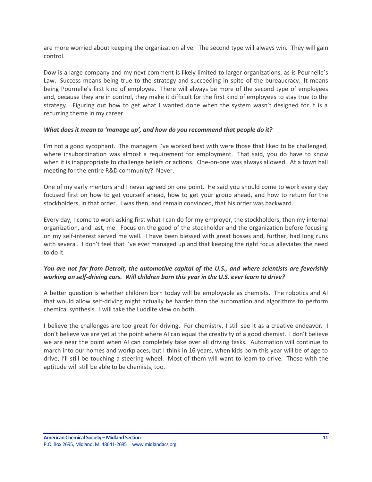are more worried about keeping the organization alive. The second type will always win. They will gain control.

Dow is a large company and my next comment is likely limited to larger organizations, as is Pournelle's Law. Success means being true to the strategy and succeeding in spite of the bureaucracy. It means being Pournelle's first kind of employee. There will always be more of the second type of employees and, because they are in control, they make it difficult for the first kind of employees to stay true to the strategy. Figuring out how to get what I wanted done when the system wasn't designed for it is a recurring theme in my career.

#### *What does it mean to 'manage up', and how do you recommend that people do it?*

I'm not a good sycophant. The managers I've worked best with were those that liked to be challenged, where insubordination was almost a requirement for employment. That said, you do have to know when it is inappropriate to challenge beliefs or actions. One-on-one was always allowed. At a town hall meeting for the entire R&D community? Never.

One of my early mentors and I never agreed on one point. He said you should come to work every day focused first on how to get yourself ahead, how to get your group ahead, and how to return for the stockholders, in that order. I was then, and remain convinced, that his order was backward.

Every day, I come to work asking first what I can do for my employer, the stockholders, then my internal organization, and last, me. Focus on the good of the stockholder and the organization before focusing on my self-interest served me well. I have been blessed with great bosses and, further, had long runs with several. I don't feel that I've ever managed up and that keeping the right focus alleviates the need to do it.

# *You are not far from Detroit, the automotive capital of the U.S., and where scientists are feverishly working on self-driving cars. Will children born this year in the U.S. ever learn to drive?*

A better question is whether children born today will be employable as chemists. The robotics and AI that would allow self-driving might actually be harder than the automation and algorithms to perform chemical synthesis. I will take the Luddite view on both.

I believe the challenges are too great for driving. For chemistry, I still see it as a creative endeavor. I don't believe we are yet at the point where AI can equal the creativity of a good chemist. I don't believe we are near the point when AI can completely take over all driving tasks. Automation will continue to march into our homes and workplaces, but I think in 16 years, when kids born this year will be of age to drive, I'll still be touching a steering wheel. Most of them will want to learn to drive. Those with the aptitude will still be able to be chemists, too.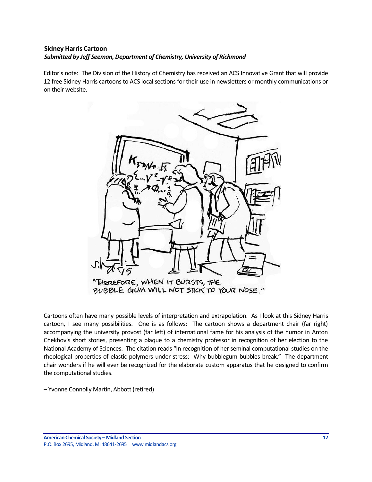# <span id="page-11-0"></span>**Sidney Harris Cartoon** *Submitted by Jeff Seeman, Department of Chemistry, University of Richmond*

Editor's note: The Division of the History of Chemistry has received an ACS Innovative Grant that will provide 12 free Sidney Harris cartoons to ACS local sections for their use in newsletters or monthly communications or on their website.



Cartoons often have many possible levels of interpretation and extrapolation. As I look at this Sidney Harris cartoon, I see many possibilities. One is as follows: The cartoon shows a department chair (far right) accompanying the university provost (far left) of international fame for his analysis of the humor in Anton Chekhov's short stories, presenting a plaque to a chemistry professor in recognition of her election to the National Academy of Sciences. The citation reads "In recognition of her seminal computational studies on the rheological properties of elastic polymers under stress: Why bubblegum bubbles break." The department chair wonders if he will ever be recognized for the elaborate custom apparatus that he designed to confirm the computational studies.

– Yvonne Connolly Martin, Abbott (retired)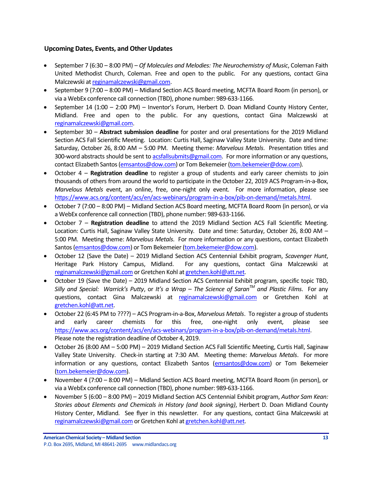# <span id="page-12-0"></span>**Upcoming Dates, Events, and Other Updates**

- September 7 (6:30 8:00 PM) *Of Molecules and Melodies: The Neurochemistry of Music*, Coleman Faith United Methodist Church, Coleman. Free and open to the public. For any questions, contact Gina Malczewski a[t reginamalczewski@gmail.com.](mailto:reginamalczewski@gmail.com)
- September 9 (7:00 8:00 PM) Midland Section ACS Board meeting, MCFTA Board Room (in person), or via a WebEx conference call connection (TBD), phone number: 989-633-1166.
- September 14 (1:00 2:00 PM) Inventor's Forum, Herbert D. Doan Midland County History Center, Midland. Free and open to the public. For any questions, contact Gina Malczewski at [reginamalczewski@gmail.com.](mailto:reginamalczewski@gmail.com)
- September 30 **Abstract submission deadline** for poster and oral presentations for the 2019 Midland Section ACS Fall Scientific Meeting. Location: Curtis Hall, Saginaw Valley State University. Date and time: Saturday, October 26, 8:00 AM – 5:00 PM. Meeting theme: *Marvelous Metals*. Presentation titles and 300-word abstracts should be sent to [acsfallsubmits@gmail.com.](mailto:acsfallsubmits@gmail.com) For more information or any questions, contact Elizabeth Santos [\(emsantos@dow.com\)](mailto:emsantos@dow.com) or Tom Bekemeier [\(tom.bekemeier@dow.com\)](mailto:tom.bekemeier@dow.com).
- October 4 **Registration deadline** to register a group of students and early career chemists to join thousands of others from around the world to participate in the October 22, 2019 ACS Program-in-a-Box, *Marvelous Metals* event, an online, free, one-night only event. For more information, please see [https://www.acs.org/content/acs/en/acs-webinars/program-in-a-box/pib-on-demand/metals.html.](https://www.acs.org/content/acs/en/acs-webinars/program-in-a-box/pib-on-demand/metals.html)
- October 7 (7:00 8:00 PM) Midland Section ACS Board meeting, MCFTA Board Room (in person), or via a WebEx conference call connection (TBD), phone number: 989-633-1166.
- October 7 **Registration deadline** to attend the 2019 Midland Section ACS Fall Scientific Meeting. Location: Curtis Hall, Saginaw Valley State University. Date and time: Saturday, October 26, 8:00 AM – 5:00 PM. Meeting theme: *Marvelous Metals*. For more information or any questions, contact Elizabeth Santos [\(emsantos@dow.com\)](mailto:emsantos@dow.com) or Tom Bekemeier [\(tom.bekemeier@dow.com\)](mailto:tom.bekemeier@dow.com).
- October 12 (Save the Date) 2019 Midland Section ACS Centennial Exhibit program, *Scavenger Hunt*, Heritage Park History Campus, Midland. For any questions, contact Gina Malczewski at [reginamalczewski@gmail.com](mailto:reginamalczewski@gmail.com) or Gretchen Kohl a[t gretchen.kohl@att.net.](mailto:gretchen.kohl@att.net)
- October 19 (Save the Date) 2019 Midland Section ACS Centennial Exhibit program, specific topic TBD, *Silly and Special: Warrick's Putty*, or *It's a Wrap – The Science of SaranTM and Plastic Films*. For any questions, contact Gina Malczewski at [reginamalczewski@gmail.com](mailto:reginamalczewski@gmail.com) or Gretchen Kohl at [gretchen.kohl@att.net.](mailto:gretchen.kohl@att.net)
- October 22 (6:45 PM to ????) ACS Program-in-a-Box, *Marvelous Metals*. To register a group of students and early career chemists for this free, one-night only event, please see [https://www.acs.org/content/acs/en/acs-webinars/program-in-a-box/pib-on-demand/metals.html.](https://www.acs.org/content/acs/en/acs-webinars/program-in-a-box/pib-on-demand/metals.html) Please note the registration deadline of October 4, 2019.
- October 26 (8:00 AM 5:00 PM) 2019 Midland Section ACS Fall Scientific Meeting, Curtis Hall, Saginaw Valley State University. Check-in starting at 7:30 AM. Meeting theme: *Marvelous Metals*. For more information or any questions, contact Elizabeth Santos [\(emsantos@dow.com\)](mailto:emsantos@dow.com) or Tom Bekemeier [\(tom.bekemeier@dow.com\)](mailto:tom.bekemeier@dow.com).
- November 4 (7:00 8:00 PM) Midland Section ACS Board meeting, MCFTA Board Room (in person), or via a WebEx conference call connection (TBD), phone number: 989-633-1166.
- November 5 (6:00 8:00 PM) 2019 Midland Section ACS Centennial Exhibit program, *Author Sam Kean: Stories about Elements and Chemicals in History (and book signing)*, Herbert D. Doan Midland County History Center, Midland. See flyer in this newsletter. For any questions, contact Gina Malczewski at [reginamalczewski@gmail.com](mailto:reginamalczewski@gmail.com) or Gretchen Kohl a[t gretchen.kohl@att.net.](mailto:gretchen.kohl@att.net)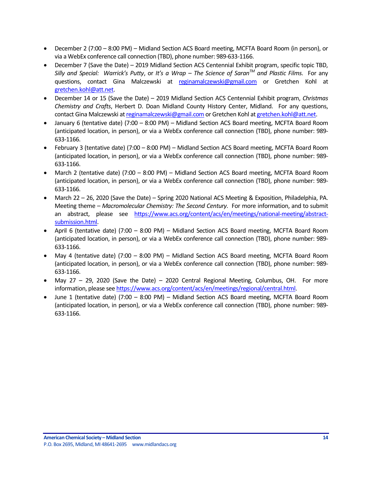- December 2 (7:00 8:00 PM) Midland Section ACS Board meeting, MCFTA Board Room (in person), or via a WebEx conference call connection (TBD), phone number: 989-633-1166.
- December 7 (Save the Date) 2019 Midland Section ACS Centennial Exhibit program, specific topic TBD, *Silly and Special: Warrick's Putty*, or *It's a Wrap – The Science of SaranTM and Plastic Films*. For any questions, contact Gina Malczewski at [reginamalczewski@gmail.com](mailto:reginamalczewski@gmail.com) or Gretchen Kohl at [gretchen.kohl@att.net.](mailto:gretchen.kohl@att.net)
- December 14 or 15 (Save the Date) 2019 Midland Section ACS Centennial Exhibit program, *Christmas Chemistry and Crafts*, Herbert D. Doan Midland County History Center, Midland. For any questions, contact Gina Malczewski a[t reginamalczewski@gmail.com](mailto:reginamalczewski@gmail.com) or Gretchen Kohl a[t gretchen.kohl@att.net.](mailto:gretchen.kohl@att.net)
- January 6 (tentative date) (7:00 8:00 PM) Midland Section ACS Board meeting, MCFTA Board Room (anticipated location, in person), or via a WebEx conference call connection (TBD), phone number: 989- 633-1166.
- February 3 (tentative date) (7:00 8:00 PM) Midland Section ACS Board meeting, MCFTA Board Room (anticipated location, in person), or via a WebEx conference call connection (TBD), phone number: 989- 633-1166.
- March 2 (tentative date) (7:00 8:00 PM) Midland Section ACS Board meeting, MCFTA Board Room (anticipated location, in person), or via a WebEx conference call connection (TBD), phone number: 989- 633-1166.
- March 22 26, 2020 (Save the Date) Spring 2020 National ACS Meeting & Exposition, Philadelphia, PA. Meeting theme – *Macromolecular Chemistry: The Second Century*. For more information, and to submit an abstract, please see [https://www.acs.org/content/acs/en/meetings/national-meeting/abstract](https://www.acs.org/content/acs/en/meetings/national-meeting/abstract-submission.html)[submission.html.](https://www.acs.org/content/acs/en/meetings/national-meeting/abstract-submission.html)
- April 6 (tentative date) (7:00 8:00 PM) Midland Section ACS Board meeting, MCFTA Board Room (anticipated location, in person), or via a WebEx conference call connection (TBD), phone number: 989- 633-1166.
- May 4 (tentative date) (7:00 8:00 PM) Midland Section ACS Board meeting, MCFTA Board Room (anticipated location, in person), or via a WebEx conference call connection (TBD), phone number: 989- 633-1166.
- May 27 29, 2020 (Save the Date) 2020 Central Regional Meeting, Columbus, OH. For more information, please se[e https://www.acs.org/content/acs/en/meetings/regional/central.html.](https://www.acs.org/content/acs/en/meetings/regional/central.html)
- June 1 (tentative date) (7:00 8:00 PM) Midland Section ACS Board meeting, MCFTA Board Room (anticipated location, in person), or via a WebEx conference call connection (TBD), phone number: 989- 633-1166.